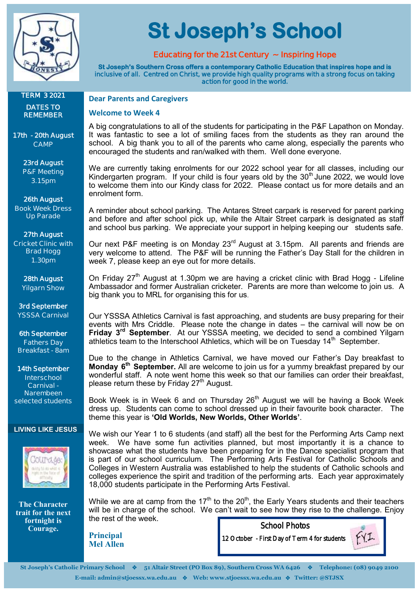

**St Joseph's School** 

#### **Educating for the 21st Century ~ Inspiring Hope**

**St Joseph's Southern Cross offers a contemporary Catholic Education that inspires hope and is inclusive of all. Centred on Christ, we provide high quality programs with a strong focus on taking action for good in the world.** 

#### **TERM 3 2021 DATES TO REMEMBER**

**17th - 20th August CAMP**

> **23rd August P&F Meeting 3.15pm**

**26th August Book Week Dress** 

**Up Parade**

# **27th August**

**Cricket Clinic with Brad Hogg 1.30pm**

> **28th August Yilgarn Show**

**3rd September YSSSA Carnival**

**6th September Fathers Day Breakfast - 8am**

#### **14th September Interschool Carnival - Narembeen**

**selected students** 

#### **LIVING LIKE JESUS**



**The Character trait for the next fortnight is Courage.**

#### **Dear Parents and Caregivers**

#### **Welcome to Week 4**

A big congratulations to all of the students for participating in the P&F Lapathon on Monday. It was fantastic to see a lot of smiling faces from the students as they ran around the school. A big thank you to all of the parents who came along, especially the parents who encouraged the students and ran/walked with them. Well done everyone.

We are currently taking enrolments for our 2022 school year for all classes, including our Kindergarten program. If your child is four years old by the  $30<sup>th</sup>$  June 2022, we would love to welcome them into our Kindy class for 2022. Please contact us for more details and an enrolment form.

A reminder about school parking. The Antares Street carpark is reserved for parent parking and before and after school pick up, while the Altair Street carpark is designated as staff and school bus parking. We appreciate your support in helping keeping our students safe.

Our next P&F meeting is on Monday 23<sup>rd</sup> August at 3.15pm. All parents and friends are very welcome to attend. The P&F will be running the Father's Day Stall for the children in week 7, please keep an eye out for more details.

On Friday  $27<sup>th</sup>$  August at 1.30pm we are having a cricket clinic with Brad Hogg - Lifeline Ambassador and former Australian cricketer. Parents are more than welcome to join us. A big thank you to MRL for organising this for us.

Our YSSSA Athletics Carnival is fast approaching, and students are busy preparing for their events with Mrs Criddle. Please note the change in dates – the carnival will now be on **Friday 3rd September**. At our YSSSA meeting, we decided to send a combined Yilgarn athletics team to the Interschool Athletics, which will be on Tuesday  $14<sup>th</sup>$  September.

Due to the change in Athletics Carnival, we have moved our Father's Day breakfast to **Monday 6th September.** All are welcome to join us for a yummy breakfast prepared by our wonderful staff. A note went home this week so that our families can order their breakfast, please return these by Friday 27<sup>th</sup> August.

Book Week is in Week 6 and on Thursday  $26<sup>th</sup>$  August we will be having a Book Week dress up. Students can come to school dressed up in their favourite book character. The theme this year is **'Old Worlds, New Worlds, Other Worlds'**.

We wish our Year 1 to 6 students (and staff) all the best for the Performing Arts Camp next week. We have some fun activities planned, but most importantly it is a chance to showcase what the students have been preparing for in the Dance specialist program that is part of our school curriculum. The Performing Arts Festival for Catholic Schools and Colleges in Western Australia was established to help the students of Catholic schools and colleges experience the spirit and tradition of the performing arts. Each year approximately 18,000 students participate in the Performing Arts Festival.

While we are at camp from the 17<sup>th</sup> to the 20<sup>th</sup>, the Early Years students and their teachers will be in charge of the school. We can't wait to see how they rise to the challenge. Enjoy the rest of the week. School Photos

**Principal Mel Allen**

12 October - First Day of Term 4 for students



**St Joseph's Catholic Primary School** ❖ **51 Altair Street (PO Box 89), Southern Cross WA 6426** ❖ **Telephone: (08) 9049 2100 E-mail: admin@stjoessx.wa.edu.au** ❖ **Web: www.stjoessx.wa.edu.au** ❖ **Twitter: @STJSX**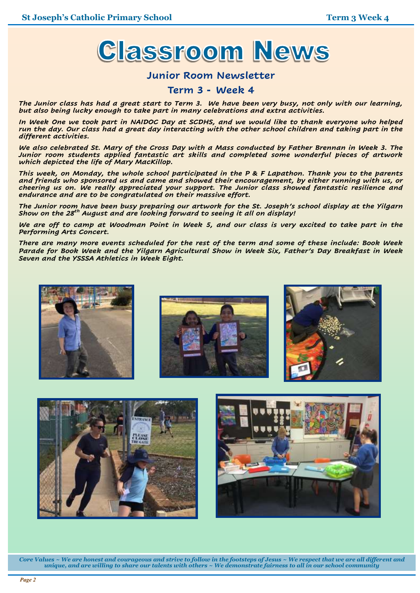

#### **Junior Room Newsletter**

#### **Term 3 - Week 4**

*The Junior class has had a great start to Term 3. We have been very busy, not only with our learning, but also being lucky enough to take part in many celebrations and extra activities.*

*In Week One we took part in NAIDOC Day at SCDHS, and we would like to thank everyone who helped run the day. Our class had a great day interacting with the other school children and taking part in the different activities.*

*We also celebrated St. Mary of the Cross Day with a Mass conducted by Father Brennan in Week 3. The Junior room students applied fantastic art skills and completed some wonderful pieces of artwork which depicted the life of Mary MacKillop.*

*This week, on Monday, the whole school participated in the P & F Lapathon. Thank you to the parents and friends who sponsored us and came and showed their encouragement, by either running with us, or cheering us on. We really appreciated your support. The Junior class showed fantastic resilience and endurance and are to be congratulated on their massive effort.*

*The Junior room have been busy preparing our artwork for the St. Joseph's school display at the Yilgarn Show on the 28th August and are looking forward to seeing it all on display!*

*We are off to camp at Woodman Point in Week 5, and our class is very excited to take part in the Performing Arts Concert.*

*There are many more events scheduled for the rest of the term and some of these include: Book Week Parade for Book Week and the Yilgarn Agricultural Show in Week Six, Father's Day Breakfast in Week Seven and the YSSSA Athletics in Week Eight.*







*Core Values ~ We are honest and courageous and strive to follow in the footsteps of Jesus ~ We respect that we are all different and unique, and are willing to share our talents with others ~ We demonstrate fairness to all in our school community*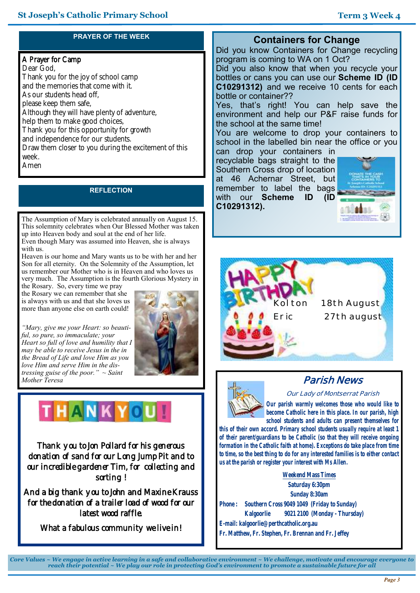# **PRAYER OF THE WEEK**

## A Prayer for Camp

Dear God, Thank you for the joy of school camp and the memories that come with it. As our students head off, please keep them safe, Although they will have plenty of adventure, help them to make good choices, Thank you for this opportunity for growth and independence for our students. Draw them closer to you during the excitement of this week. Amen

#### **REFLECTION**

The Assumption of Mary is celebrated annually on August 15. This solemnity celebrates when Our Blessed Mother was taken up into Heaven body and soul at the end of her life. Even though Mary was assumed into Heaven, she is always with us.

Heaven is our home and Mary wants us to be with her and her Son for all eternity. On the Solemnity of the Assumption, let us remember our Mother who is in Heaven and who loves us very much. The Assumption is the fourth Glorious Mystery in

the Rosary. So, every time we pray the Rosary we can remember that she is always with us and that she loves us more than anyone else on earth could!

*"Mary, give me your Heart: so beautiful, so pure, so immaculate; your Heart so full of love and humility that I may be able to receive Jesus in the in the Bread of Life and love Him as you love Him and serve Him in the distressing guise of the poor." ~ Saint Mother Teresa*



# THANKYOU!

Thank you to Jon Pollard for his generous donation of sand for our Long Jump Pit and to our incredible gardener Tim, for collecting and sorting !

And a big thank you to John and Maxine Krauss for the donation of a trailer load of wood for our latest wood raffle.

What a fabulous community we live in!

# **Containers for Change**

Did you know Containers for Change recycling program is coming to WA on 1 Oct?

Did you also know that when you recycle your bottles or cans you can use our **Scheme ID (ID C10291312)** and we receive 10 cents for each bottle or container??

Yes, that's right! You can help save the environment and help our P&F raise funds for the school at the same time!

You are welcome to drop your containers to school in the labelled bin near the office or you

can drop your containers in recyclable bags straight to the Southern Cross drop of location at 46 Achernar Street, but remember to label the bags with our **Scheme ID (ID C10291312).**







# **Parish News**

**Our Lady of Montserrat Parish**

*Our parish warmly welcomes those who would like to become Catholic here in this place. In our parish, high school students and adults can present themselves for* 

*this of their own accord. Primary school students usually require at least 1 of their parent/guardians to be Catholic (so that they will receive ongoing formation in the Catholic faith at home). Exceptions do take place from time to time, so the best thing to do for any interested families is to either contact us at the parish or register your interest with Ms Allen.*

**Weekend Mass Times Saturday 6:30pm Sunday 8:30am Phone : Southern Cross 9049 1049 (Friday to Sunday) Kalgoorlie 9021 2100 (Monday - Thursday) E-mail: kalgoorlie@perthcatholic.org.au Fr. Matthew, Fr. Stephen, Fr. Brennan and Fr. Jeffey**

*Core Values ~ We engage in active learning in a safe and collaborative environment ~ We challenge, motivate and encourage everyone to reach their potential ~ We play our role in protecting God's environment to promote a sustainable future for all*